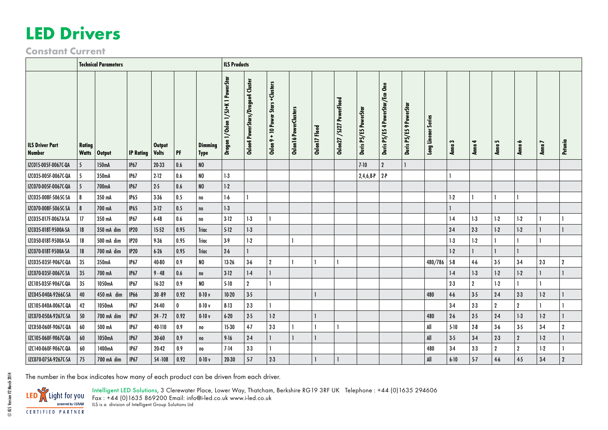## **LED Drivers**

**Constant Current**

|                                         | <b>Technical Parameters</b> |                       |                  |                        |         |                 | <b>ILS Products</b>                        |                                   |                                                      |                       |               |                          |                       |                                 |                                     |                        |           |                  |                |                  |         |                  |
|-----------------------------------------|-----------------------------|-----------------------|------------------|------------------------|---------|-----------------|--------------------------------------------|-----------------------------------|------------------------------------------------------|-----------------------|---------------|--------------------------|-----------------------|---------------------------------|-------------------------------------|------------------------|-----------|------------------|----------------|------------------|---------|------------------|
| <b>ILS Driver Part</b><br><b>Number</b> | <b>Rating</b>               | <b>Watts   Output</b> | <b>IP Rating</b> | Output<br><b>Volts</b> | $ $ PF  | Dimming<br>Type | <b>PowerStar</b><br>Dragon 1/Oslon 1/SJ+K1 | Oslon4 PowerStars/Dragon4 Cluster | +Clusters<br><b>Stars</b><br>$9 + 10$ Power<br>Oslon | Oslon16 PowerClusters | Oslon17 Floed | Oslon27 /SJ27 PowerFlood | Duris P5/E5 PowerStar | Duris P5/E5 4 PowerStar/Eco One | PowerSt<br>$\bullet$<br>Duris P5/E5 | Series<br>Long Lineaer | S<br>Anna | ₹<br>Anna        | S<br>Anna      | ╺<br>Anna        | Anna 7  | Petunia          |
| IZC015-005F-0067C-QA                    | 5                           | 150mA                 | IP67             | 20-33                  | $0.6\,$ | NO              |                                            |                                   |                                                      |                       |               |                          | $7-10$                | $\overline{2}$                  |                                     |                        |           |                  |                |                  |         |                  |
| IZC035-005F-0067C-QA                    | -5                          | 350mA                 | IP67             | $2 - 12$               | $0.6\,$ | NO              | $1-3$                                      |                                   |                                                      |                       |               |                          | $2,4,6,8-P$ 2-P       |                                 |                                     |                        |           |                  |                |                  |         |                  |
| IZC070-005F-0067C-QA                    | -5                          | 700mA                 | IP67             | $2-5$                  | 0.6     | NO              | $1-2$                                      |                                   |                                                      |                       |               |                          |                       |                                 |                                     |                        |           |                  |                |                  |         |                  |
| IZC035-008F-5065C-SA                    | 8                           | 350 mA                | <b>IP65</b>      | $3-36$                 | 0.5     | no              | $1-6$                                      |                                   |                                                      |                       |               |                          |                       |                                 |                                     |                        | $1-2$     |                  |                |                  |         |                  |
| IZC070-008F-5065C-SA                    |                             | 700 mA                | <b>IP65</b>      | $3-12$                 | 0.5     | n <sub>0</sub>  | $1-3$                                      |                                   |                                                      |                       |               |                          |                       |                                 |                                     |                        |           |                  |                |                  |         |                  |
| IZC035-017F-0067A-SA                    | 17                          | 350 mA                | <b>IP67</b>      | $6 - 48$               | $0.6\,$ | no              | $3-12$                                     | $1-3$                             |                                                      |                       |               |                          |                       |                                 |                                     |                        | $1-4$     | $1-3$            | $1-2$          | $1-2$            |         |                  |
| IZC035-018T-9500A-SA                    | 18                          | 350 mA dim            | IP20             | 15-52                  | 0.95    | <b>Triac</b>    | $5-12$                                     | $1-3$                             |                                                      |                       |               |                          |                       |                                 |                                     |                        | $2 - 4$   | $2-3$            | $1-2$          | $1-2$            |         |                  |
| IZC050-018T-9500A-SA                    | 18                          | 500 mA dim            | IP20             | $9 - 36$               | 0.95    | <b>Triac</b>    | $3-9$                                      | $1-2$                             |                                                      |                       |               |                          |                       |                                 |                                     |                        | $1-3$     | $1-2$            |                |                  |         |                  |
| IZC070-018T-9500A-SA                    | 18                          | 700 mA dim            | IP20             | $6 - 26$               | 0.95    | <b>Triac</b>    | $2-6$                                      |                                   |                                                      |                       |               |                          |                       |                                 |                                     |                        | $1-2$     |                  |                |                  |         |                  |
| IZC035-035F-9067C-QA                    | 35                          | 350mA                 | <b>IP67</b>      | 40-80                  | 0.9     | NO              | 13-26                                      | $3-6$                             | $\overline{2}$                                       |                       |               |                          |                       |                                 |                                     | $480/786$ 5-8          |           | $4-6$            | $3-5$          | $3-4$            | $2 - 3$ | $\boldsymbol{2}$ |
| IZC070-035F-0067C-SA                    | 35                          | 700 mA                | IP67             | $9 - 48$               | 0.6     | $\mathsf{no}$   | $3-12$                                     | $1-4$                             |                                                      |                       |               |                          |                       |                                 |                                     |                        | $1-4$     | $1-3$            | $1-2$          | $1-2$            |         |                  |
| IZC105-035F-9067C-QA                    | 35                          | 1050mA                | <b>IP67</b>      | $16-32$                | $0.9\,$ | NO              | $5-10$                                     | $\mathbf{2}$                      |                                                      |                       |               |                          |                       |                                 |                                     |                        | $2-3$     | $\boldsymbol{2}$ | $1-2$          |                  |         |                  |
| IZC045-040A-9266C-SA                    | 40                          | 450 mA dim            | <b>IP66</b>      | $30 - 89$              | 0.92    | $0-10v$         | $10-20$                                    | $3-5$                             |                                                      |                       |               |                          |                       |                                 |                                     | 480                    | $4-6$     | $3-5$            | $2-4$          | $2-3$            | $1-2$   | 1                |
| IZC105-040A-0067C-QA                    | 42                          | 1050mA                | <b>IP67</b>      | 24-40                  | 0       | $0-10v$         | $8-13$                                     | $2-3$                             |                                                      |                       |               |                          |                       |                                 |                                     |                        | $3-4$     | $2-3$            | $\overline{2}$ | $\mathbf{2}$     |         |                  |
| IZC070-050A-9267C-SA                    | 50                          | 700 mA dim            | IP67             | $24 - 72$              | 0.92    | $0-10v$         | $6 - 20$                                   | $2-5$                             | $1-2$                                                |                       |               |                          |                       |                                 |                                     | 480                    | $2 - 6$   | $2-5$            | $2-4$          | $1-3$            | $1-2$   | $\mathbf{I}$     |
| IZC050-060F-9067C-QA                    | 60                          | 500 mA                | IP67             | 40-110                 | $0.9\,$ | no              | 15-30                                      | $4-7$                             | $2-3$                                                |                       |               |                          |                       |                                 |                                     | All                    | $5-10$    | $2 - 8$          | $3-6$          | $3-5$            | $3-4$   | $\overline{2}$   |
| IZC105-060F-9067C-QA                    | 60                          | 1050mA                | IP67             | $30 - 60$              | $0.9\,$ | no              | $9 - 16$                                   | $2-4$                             |                                                      |                       |               |                          |                       |                                 |                                     | All                    | $3-5$     | $3-4$            | $2-3$          | $\boldsymbol{2}$ | $1-2$   |                  |
| IZC140-060F-9067C-QA                    | 60                          | 1400mA                | IP67             | 20-42                  | 0.9     | no              | $7-14$                                     | $2-3$                             |                                                      |                       |               |                          |                       |                                 |                                     | 480                    | $3-4$     | $2-3$            | $\overline{2}$ | $\overline{2}$   | $1-2$   |                  |
| IZC070-075A-9267C-SA                    | 75                          | 700 mA dim            | IP67             | 54 - 108               | 0.92    | $0-10v$         | $20 - 30$                                  | $5-7$                             | $2-3$                                                |                       |               |                          |                       |                                 |                                     | All                    | $6 - 10$  | $5 - 7$          | $4-6$          | $4-5$            | $3-4$   | $\overline{2}$   |





Intelligent LED Solutions, 3 Clerewater Place, Lower Way, Thatcham, Berkshire RG19 3RF UK Telephone : +44 (0)1635 294606

Fax : +44 (0)1635 869200 Email: info@i-led.co.uk www.i-led.co.uk ILS is a division of Intelligent Group Solutions Ltd

© IGS Version V2 March 2014

© IGS Version V2 March 2014